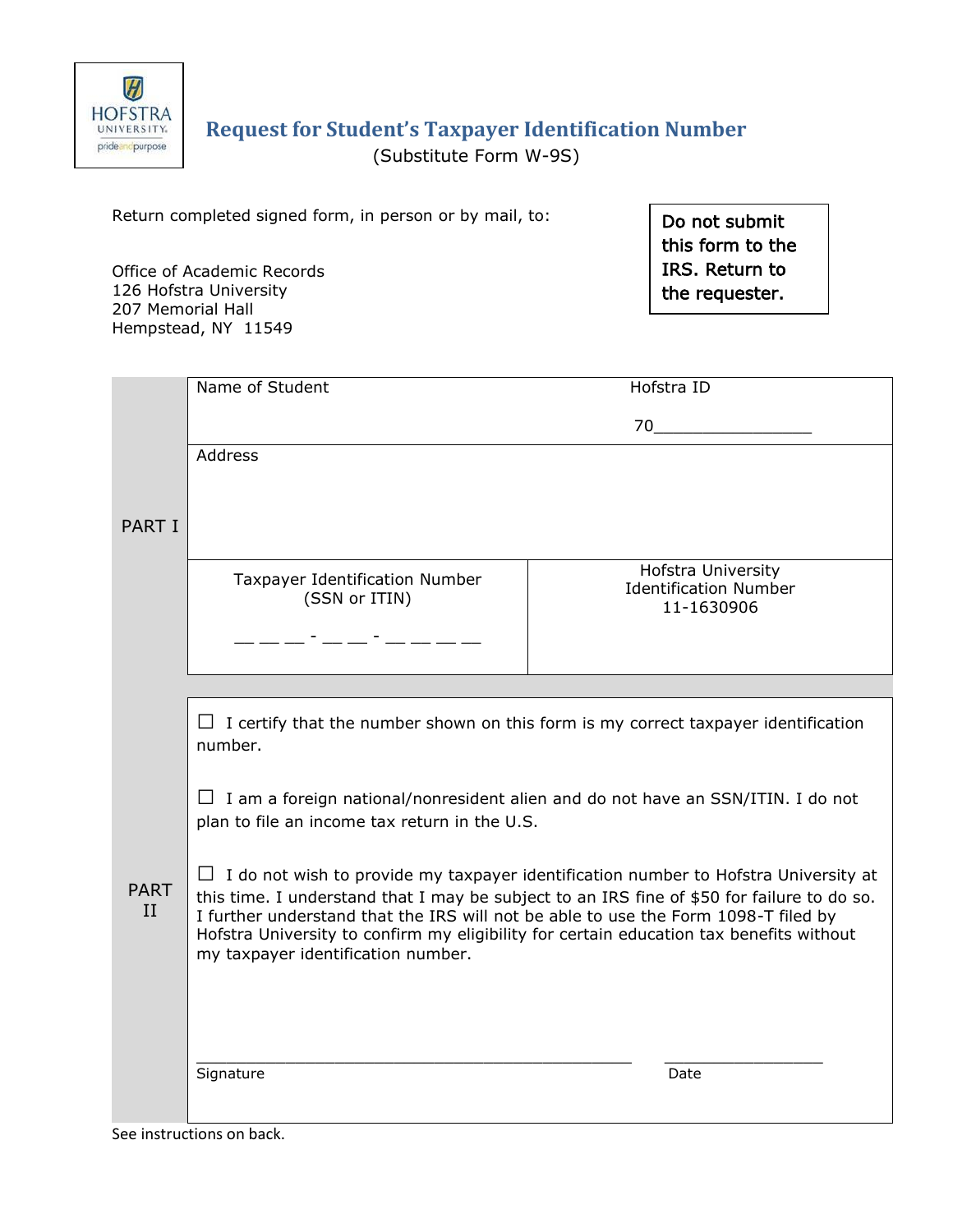

# **Request for Student's Taxpayer Identification Number** (Substitute Form W-9S)

Return completed signed form, in person or by mail, to:

Office of Academic Records 126 Hofstra University 207 Memorial Hall Hempstead, NY 11549

Do not submit this form to the IRS. Return to the requester.

|             | Name of Student                                                                                                                                                                  |                              |
|-------------|----------------------------------------------------------------------------------------------------------------------------------------------------------------------------------|------------------------------|
|             |                                                                                                                                                                                  | Hofstra ID                   |
|             |                                                                                                                                                                                  | 70                           |
|             | <b>Address</b>                                                                                                                                                                   |                              |
|             |                                                                                                                                                                                  |                              |
|             |                                                                                                                                                                                  |                              |
| PART I      |                                                                                                                                                                                  |                              |
|             |                                                                                                                                                                                  | <b>Hofstra University</b>    |
|             | Taxpayer Identification Number                                                                                                                                                   | <b>Identification Number</b> |
|             | (SSN or ITIN)                                                                                                                                                                    | 11-1630906                   |
|             | <u> 1966 - 1967 - 1968 - 1969 - 1969 - 1969 - 1969 - 1969 - 1969 - 1969 - 1969 - 1969 - 1969 - 1969 - 1969 - 196</u>                                                             |                              |
|             |                                                                                                                                                                                  |                              |
|             |                                                                                                                                                                                  |                              |
|             | $\Box$ I certify that the number shown on this form is my correct taxpayer identification                                                                                        |                              |
|             | number.                                                                                                                                                                          |                              |
|             |                                                                                                                                                                                  |                              |
|             | $\Box$ I am a foreign national/nonresident alien and do not have an SSN/ITIN. I do not<br>plan to file an income tax return in the U.S.                                          |                              |
|             |                                                                                                                                                                                  |                              |
|             |                                                                                                                                                                                  |                              |
| <b>PART</b> | $\Box$ I do not wish to provide my taxpayer identification number to Hofstra University at                                                                                       |                              |
| II          | this time. I understand that I may be subject to an IRS fine of \$50 for failure to do so.<br>I further understand that the IRS will not be able to use the Form 1098-T filed by |                              |
|             | Hofstra University to confirm my eligibility for certain education tax benefits without                                                                                          |                              |
|             | my taxpayer identification number.                                                                                                                                               |                              |
|             |                                                                                                                                                                                  |                              |
|             |                                                                                                                                                                                  |                              |
|             |                                                                                                                                                                                  |                              |
|             | Signature                                                                                                                                                                        | Date                         |
|             |                                                                                                                                                                                  |                              |
|             |                                                                                                                                                                                  |                              |

See instructions on back.